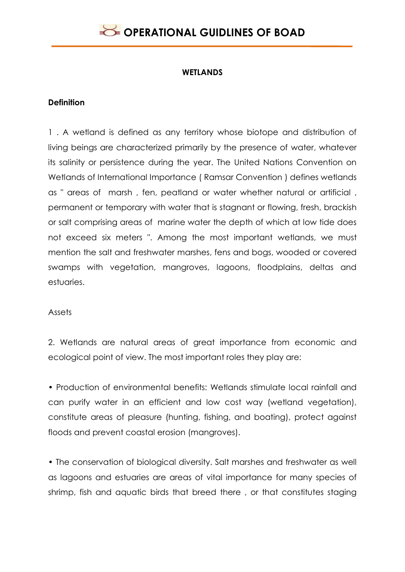### **WETLANDS**

### **Definition**

1 . A wetland is defined as any territory whose biotope and distribution of living beings are characterized primarily by the presence of water, whatever its salinity or persistence during the year. The United Nations Convention on Wetlands of International Importance ( Ramsar Convention ) defines wetlands as " areas of marsh , fen, peatland or water whether natural or artificial , permanent or temporary with water that is stagnant or flowing, fresh, brackish or salt comprising areas of marine water the depth of which at low tide does not exceed six meters ". Among the most important wetlands, we must mention the salt and freshwater marshes, fens and bogs, wooded or covered swamps with vegetation, mangroves, lagoons, floodplains, deltas and estuaries.

#### **Assets**

2. Wetlands are natural areas of great importance from economic and ecological point of view. The most important roles they play are:

• Production of environmental benefits: Wetlands stimulate local rainfall and can purify water in an efficient and low cost way (wetland vegetation), constitute areas of pleasure (hunting, fishing, and boating), protect against floods and prevent coastal erosion (mangroves).

• The conservation of biological diversity. Salt marshes and freshwater as well as lagoons and estuaries are areas of vital importance for many species of shrimp, fish and aquatic birds that breed there , or that constitutes staging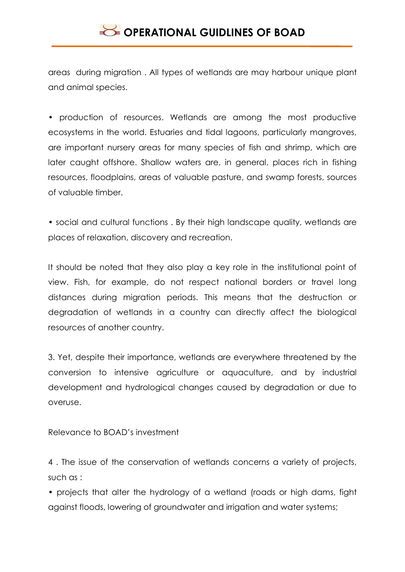areas during migration . All types of wetlands are may harbour unique plant and animal species.

• production of resources. Wetlands are among the most productive ecosystems in the world. Estuaries and tidal lagoons, particularly mangroves, are important nursery areas for many species of fish and shrimp, which are later caught offshore. Shallow waters are, in general, places rich in fishing resources, floodplains, areas of valuable pasture, and swamp forests, sources of valuable timber.

• social and cultural functions . By their high landscape quality, wetlands are places of relaxation, discovery and recreation.

It should be noted that they also play a key role in the institutional point of view. Fish, for example, do not respect national borders or travel long distances during migration periods. This means that the destruction or degradation of wetlands in a country can directly affect the biological resources of another country.

3. Yet, despite their importance, wetlands are everywhere threatened by the conversion to intensive agriculture or aquaculture, and by industrial development and hydrological changes caused by degradation or due to overuse.

Relevance to BOAD's investment

4 . The issue of the conservation of wetlands concerns a variety of projects, such as :

• projects that alter the hydrology of a wetland (roads or high dams, fight against floods, lowering of groundwater and irrigation and water systems;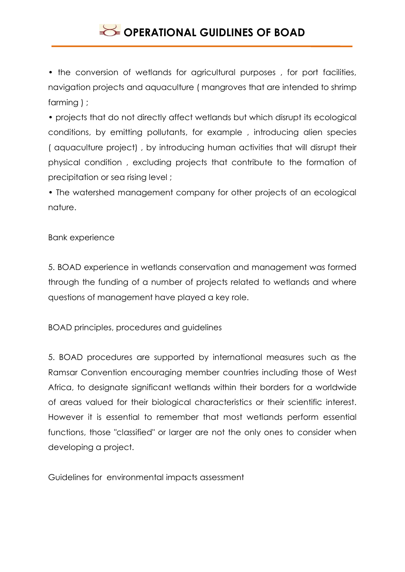• the conversion of wetlands for agricultural purposes , for port facilities, navigation projects and aquaculture ( mangroves that are intended to shrimp farming ) ;

• projects that do not directly affect wetlands but which disrupt its ecological conditions, by emitting pollutants, for example , introducing alien species ( aquaculture project) , by introducing human activities that will disrupt their physical condition , excluding projects that contribute to the formation of precipitation or sea rising level ;

• The watershed management company for other projects of an ecological nature.

#### Bank experience

5. BOAD experience in wetlands conservation and management was formed through the funding of a number of projects related to wetlands and where questions of management have played a key role.

BOAD principles, procedures and guidelines

5. BOAD procedures are supported by international measures such as the Ramsar Convention encouraging member countries including those of West Africa, to designate significant wetlands within their borders for a worldwide of areas valued for their biological characteristics or their scientific interest. However it is essential to remember that most wetlands perform essential functions, those "classified" or larger are not the only ones to consider when developing a project.

Guidelines for environmental impacts assessment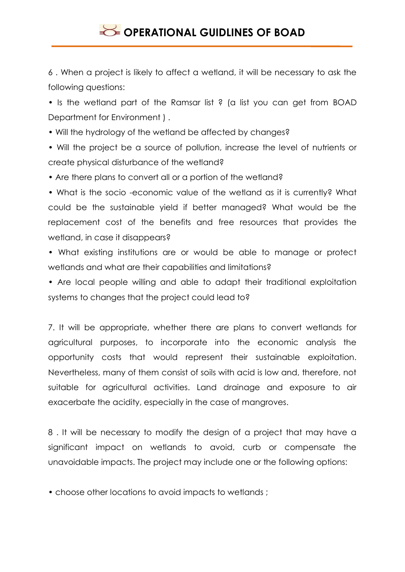6 . When a project is likely to affect a wetland, it will be necessary to ask the following questions:

• Is the wetland part of the Ramsar list ? (a list you can get from BOAD Department for Environment ) .

• Will the hydrology of the wetland be affected by changes?

• Will the project be a source of pollution, increase the level of nutrients or create physical disturbance of the wetland?

• Are there plans to convert all or a portion of the wetland?

• What is the socio -economic value of the wetland as it is currently? What could be the sustainable yield if better managed? What would be the replacement cost of the benefits and free resources that provides the wetland, in case it disappears?

• What existing institutions are or would be able to manage or protect wetlands and what are their capabilities and limitations?

• Are local people willing and able to adapt their traditional exploitation systems to changes that the project could lead to?

7. It will be appropriate, whether there are plans to convert wetlands for agricultural purposes, to incorporate into the economic analysis the opportunity costs that would represent their sustainable exploitation. Nevertheless, many of them consist of soils with acid is low and, therefore, not suitable for agricultural activities. Land drainage and exposure to air exacerbate the acidity, especially in the case of mangroves.

8 . It will be necessary to modify the design of a project that may have a significant impact on wetlands to avoid, curb or compensate the unavoidable impacts. The project may include one or the following options:

• choose other locations to avoid impacts to wetlands ;